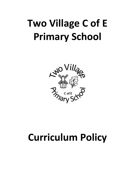

# **Curriculum Policy**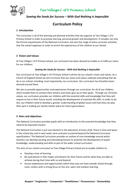

# *Sowing the Seeds for Success – With God Nothing is Impossible*

# **Curriculum Policy**

## **1 Introduction**

The curriculum is all of the learning and planned activities that we organise at Two Village C of E Primary School in order to promote learning, personal growth and development. It includes not only the formal requirements of the National Curriculum, but also the range of extra-curricular activities that the school organises in order to enrich the experiences of the children at our School.

## **2 Vision and Values**

At Two Village C of E Primary School, our curriculum has been devised to enable us to fulfil our vision for our children;

#### *Sowing the Seeds for Success – With God Nothing is Impossible*

Our curriculum at Two Village C of E Primary School is driven by our school's vision and values. As a Church of England School we aim to ensure that our vision and values underpin everything that we do in our school, including, most importantly, our curriculum. Our curriculum has therefore been devised around these.

We aim to provide opportunities and experiences through our curriculum, for all of our children, which enable them to achieve their dreams and never give up on their goals. Through our Christian values, our curriculum provides our children with the essential skills and knowledge that they will require to live in their future world, including the development of essential life skills. In order to do this, our children need to develop a greater understanding of global issues and how they can play their part in making our world a better place for future generations.

## **3 Aims and objectives**

The National Curriculum provides pupils with an introduction to the essential knowledge that they need to be educated citizens.

The National Curriculum is just one element in the education of every child. There is time and space in the school day and in each week, term and year to extend beyond the National Curriculum specifications. The National Curriculum provides an outline of core knowledge around which teachers can develop exciting and stimulating lessons to promote the development of pupils' knowledge, understanding and skills as part of the wider school curriculum.

The aims of our school curriculum at Two Village Primary School are to enable children to:

- Develop a love of learning
- Be aspirational in their hopes and dreams for their future and for what they are able to achieve during their time with us and beyond.
- Access experiences and opportunities which they may not have outside school through visits, visitors with a strong focus on the arts, sport and outdoor learning.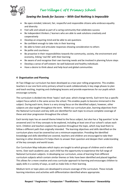

# *Sowing the Seeds for Success – With God Nothing is Impossible*

- Be open-minded, tolerant, fair, respectful and responsible citizens who embrace equality and diversity
- Feel safe and valued as part of a caring community that celebrates success
- Be independent thinkers / learners who are able to seek solutions creatively and cooperatively
- Develop an enquiring mind and be able to ask questions
- Be confident enough to take risks in their learning
- Be able to listen and articulate responses showing consideration to others
- Be polite and courteous
- Be proactive in their responsibilities towards the community, society, the environment and economy, linking 'real life' with their learning
- Be aware of and recognise their own learning needs and be involved in planning future steps
- Develop a sense of self-esteem: be well balanced and healthy individuals
- Have a desire to think about and help local and global communities

## **4 Organisation and Planning**

At Two Village our curriculum has been developed as a two year rolling programme. This enables teachers in our one form entry primary school to work collaboratively in key stage phases to plan and teach exciting, inspiring and challenging lessons and provide experiences for our pupils which encourage curiosity.

The curriculum is divided into three 'topics' each year, which change termly. Each term has a specific subject focus which is the same across the school. This enables pupils to become immersed in the subject. During each term, there is a very strong focus on the identified subject, however, other subjects are also taught throughout the term. Within our curriculum plan, learning objectives from the National Curriculum and key skills are identified for each topic to ensure complete coverage of these and clear progression throughout the school.

Each termly topic has an overall theme linked to the focus subject, but also has a 'big question' to be answered and 3 to 4 key concepts to be explored, including at least one of our school's values each term. Children and teachers explore the question throughout the topic, which may lead them to follow a different path than originally intended. The learning objectives and skills identified on the curriculum plans must be covered but are a minimum expectation. Providing the identified knowledge and skills identified are covered, teachers and children are encouraged to take their learning in other directions if it helps them to answer their question and deepen their understanding of the key concepts and world issues.

Our Curriculum Map indicates which topics are taught to which groups of children and in which terms. Over each academic year, each child has the opportunity to experience the full range of National Curriculum subjects. In developing our curriculum, areas of learning from different curriculum subjects which contain similar themes or links have been identified and placed together. This allows for a more creative and cross curricular approach to learning and encourages children to apply skills in a variety of ways, as well as make links in their learning.

Medium term or topic plans are developed to ensure coverage of the curriculum. These include learning intentions and activities with differentiation identified where appropriate.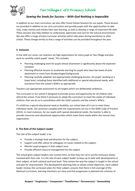

# *Sowing the Seeds for Success – With God Nothing is Impossible*

In addition to our main curriculum, we also offer Forest School Sessions for our pupils. These lessons are provided in addition to our core curriculum and provide pupils with the opportunities to take risks, make choices and initiate their own learning, as well as develop a range of important life skills. These sessions also help children to understand, appreciate and care for the natural environment. We also offer a range of extra-curricular activities which take place during lunchtimes or after school. These change termly so that a range of activities can be provided throughout the year.

## **5 Inclusion**

In line with our vision, our teachers set high expectations for every pupil at Two Village and plan work to carefully match pupils' needs. This includes:

- Planning challenging work for pupils whose attainment is significantly above the expected standard
- Planning effective lessons to accelerate learning for pupils who have low levels of prior attainment or come from disadvantaged backgrounds
- Planning carefully adapted, but appropriately challenging lessons, for pupils' working at a lower level, including those identified with additional or special educational needs, with assistance from the school's SENCo as appropriate.

Teachers use appropriate assessment to set targets which are deliberately ambitious.

The curriculum in our school is designed to provide access and opportunity for all children who attend the school. If we think it necessary to adapt the curriculum to meet the needs of individual children, then we do so in consultation with the child's parents and the school's SENCo.

If a child has a special educational need or disability, our school does all it can to meet these individual needs. Our provision complies with the requirements set out in the SEND Code of Practice (2015). In most instances, for our pupils with special educational needs, the teacher is able to provide resources and educational opportunities which meet these needs within the normal class organisation.

## **6 The Role of the Subject Leader**

The role of the subject leader is to:

- Provide a strategic lead and direction for the subject;
- Support and offer advice to colleagues on issues related to the subject;
- Monitor pupil progress in that subject area;
- Provide efficient resource management for the subject.

The school gives subject leaders non-contact time, so that they can carry out the necessary duties involved with their role. It is the role of each subject leader to keep up to date with developments in their subject, at both national and local level. They review the way the subject is taught in the school and plan for improvement. This development planning links to whole-school objectives. Each subject leader reviews the curriculum plans for their subject, ensures that there is full coverage of the National Curriculum, learning intentions are clear and that progression is planned into schemes of